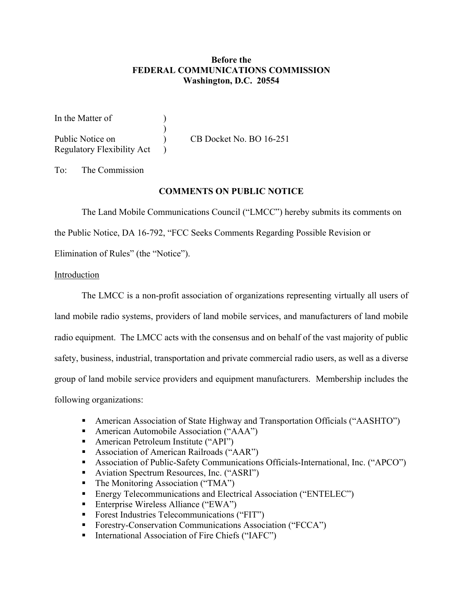# **Before the FEDERAL COMMUNICATIONS COMMISSION Washington, D.C. 20554**

In the Matter of  $\qquad \qquad$  )  $\overline{\phantom{a}}$ Public Notice on (a) CB Docket No. BO 16-251 Regulatory Flexibility Act )

To: The Commission

### **COMMENTS ON PUBLIC NOTICE**

The Land Mobile Communications Council ("LMCC") hereby submits its comments on

the Public Notice, DA 16-792, "FCC Seeks Comments Regarding Possible Revision or

Elimination of Rules" (the "Notice").

### Introduction

The LMCC is a non-profit association of organizations representing virtually all users of land mobile radio systems, providers of land mobile services, and manufacturers of land mobile radio equipment. The LMCC acts with the consensus and on behalf of the vast majority of public safety, business, industrial, transportation and private commercial radio users, as well as a diverse group of land mobile service providers and equipment manufacturers. Membership includes the following organizations:

- American Association of State Highway and Transportation Officials ("AASHTO")
- American Automobile Association ("AAA")
- American Petroleum Institute ("API")
- Association of American Railroads ("AAR")
- Association of Public-Safety Communications Officials-International, Inc. ("APCO")
- Aviation Spectrum Resources, Inc. ("ASRI")
- The Monitoring Association ("TMA")
- **Energy Telecommunications and Electrical Association ("ENTELEC")**
- Enterprise Wireless Alliance ("EWA")
- Forest Industries Telecommunications ("FIT")
- **Forestry-Conservation Communications Association ("FCCA")**
- International Association of Fire Chiefs ("IAFC")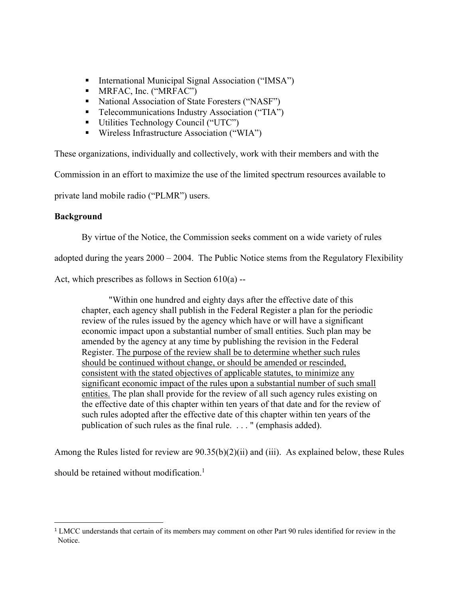- International Municipal Signal Association ("IMSA")
- **MRFAC, Inc. ("MRFAC")**
- National Association of State Foresters ("NASF")
- **Telecommunications Industry Association ("TIA")**
- Utilities Technology Council ("UTC")
- Wireless Infrastructure Association ("WIA")

These organizations, individually and collectively, work with their members and with the

Commission in an effort to maximize the use of the limited spectrum resources available to

private land mobile radio ("PLMR") users.

## **Background**

By virtue of the Notice, the Commission seeks comment on a wide variety of rules

adopted during the years  $2000 - 2004$ . The Public Notice stems from the Regulatory Flexibility

Act, which prescribes as follows in Section 610(a) --

 "Within one hundred and eighty days after the effective date of this chapter, each agency shall publish in the Federal Register a plan for the periodic review of the rules issued by the agency which have or will have a significant economic impact upon a substantial number of small entities. Such plan may be amended by the agency at any time by publishing the revision in the Federal Register. The purpose of the review shall be to determine whether such rules should be continued without change, or should be amended or rescinded, consistent with the stated objectives of applicable statutes, to minimize any significant economic impact of the rules upon a substantial number of such small entities. The plan shall provide for the review of all such agency rules existing on the effective date of this chapter within ten years of that date and for the review of such rules adopted after the effective date of this chapter within ten years of the publication of such rules as the final rule. . . . " (emphasis added).

Among the Rules listed for review are 90.35(b)(2)(ii) and (iii). As explained below, these Rules should be retained without modification.<sup>1</sup>

<sup>&</sup>lt;sup>1</sup> LMCC understands that certain of its members may comment on other Part 90 rules identified for review in the Notice.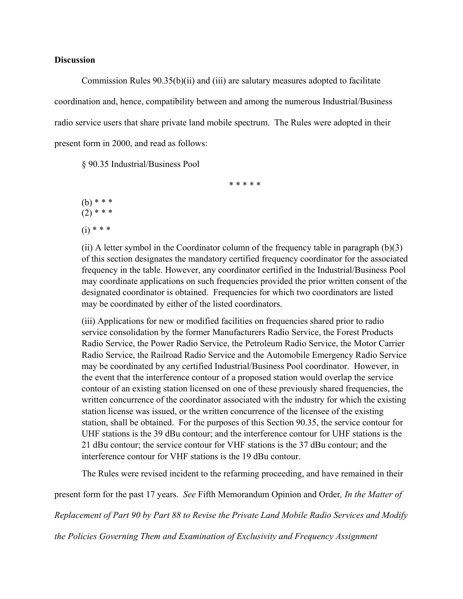### **Discussion**

Commission Rules 90.35(b)(ii) and (iii) are salutary measures adopted to facilitate coordination and, hence, compatibility between and among the numerous Industrial/Business radio service users that share private land mobile spectrum. The Rules were adopted in their present form in 2000, and read as follows:

§ 90.35 Industrial/Business Pool

 $(b)$  \* \* \*  $(2)$  \* \* \*  $(i) * * * *$ 

(ii) A letter symbol in the Coordinator column of the frequency table in paragraph (b)(3) of this section designates the mandatory certified frequency coordinator for the associated frequency in the table. However, any coordinator certified in the Industrial/Business Pool may coordinate applications on such frequencies provided the prior written consent of the designated coordinator is obtained. Frequencies for which two coordinators are listed may be coordinated by either of the listed coordinators.

\* \* \* \* \*

(iii) Applications for new or modified facilities on frequencies shared prior to radio service consolidation by the former Manufacturers Radio Service, the Forest Products Radio Service, the Power Radio Service, the Petroleum Radio Service, the Motor Carrier Radio Service, the Railroad Radio Service and the Automobile Emergency Radio Service may be coordinated by any certified Industrial/Business Pool coordinator. However, in the event that the interference contour of a proposed station would overlap the service contour of an existing station licensed on one of these previously shared frequencies, the written concurrence of the coordinator associated with the industry for which the existing station license was issued, or the written concurrence of the licensee of the existing station, shall be obtained. For the purposes of this Section 90.35, the service contour for UHF stations is the 39 dBu contour; and the interference contour for UHF stations is the 21 dBu contour; the service contour for VHF stations is the 37 dBu contour; and the interference contour for VHF stations is the 19 dBu contour.

The Rules were revised incident to the refarming proceeding, and have remained in their

present form for the past 17 years. *See* Fifth Memorandum Opinion and Order*, In the Matter of* 

*Replacement of Part 90 by Part 88 to Revise the Private Land Mobile Radio Services and Modify* 

*the Policies Governing Them and Examination of Exclusivity and Frequency Assignment*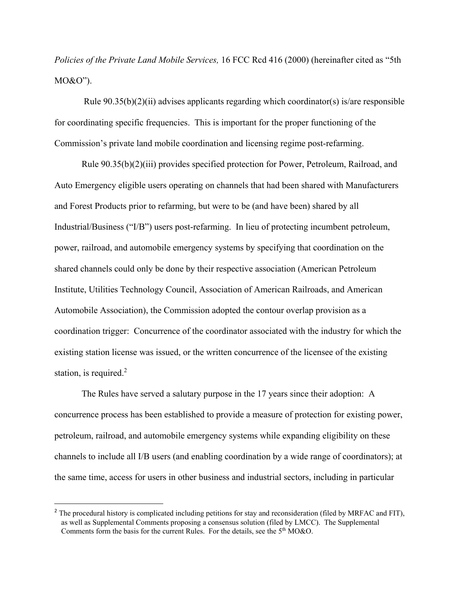*Policies of the Private Land Mobile Services,* 16 FCC Rcd 416 (2000) (hereinafter cited as "5th MO&O").

Rule  $90.35(b)(2)(ii)$  advises applicants regarding which coordinator(s) is/are responsible for coordinating specific frequencies. This is important for the proper functioning of the Commission's private land mobile coordination and licensing regime post-refarming.

Rule 90.35(b)(2)(iii) provides specified protection for Power, Petroleum, Railroad, and Auto Emergency eligible users operating on channels that had been shared with Manufacturers and Forest Products prior to refarming, but were to be (and have been) shared by all Industrial/Business ("I/B") users post-refarming. In lieu of protecting incumbent petroleum, power, railroad, and automobile emergency systems by specifying that coordination on the shared channels could only be done by their respective association (American Petroleum Institute, Utilities Technology Council, Association of American Railroads, and American Automobile Association), the Commission adopted the contour overlap provision as a coordination trigger: Concurrence of the coordinator associated with the industry for which the existing station license was issued, or the written concurrence of the licensee of the existing station, is required.<sup>2</sup>

The Rules have served a salutary purpose in the 17 years since their adoption: A concurrence process has been established to provide a measure of protection for existing power, petroleum, railroad, and automobile emergency systems while expanding eligibility on these channels to include all I/B users (and enabling coordination by a wide range of coordinators); at the same time, access for users in other business and industrial sectors, including in particular

<sup>&</sup>lt;sup>2</sup> The procedural history is complicated including petitions for stay and reconsideration (filed by MRFAC and FIT), as well as Supplemental Comments proposing a consensus solution (filed by LMCC). The Supplemental Comments form the basis for the current Rules. For the details, see the 5<sup>th</sup> MO&O.